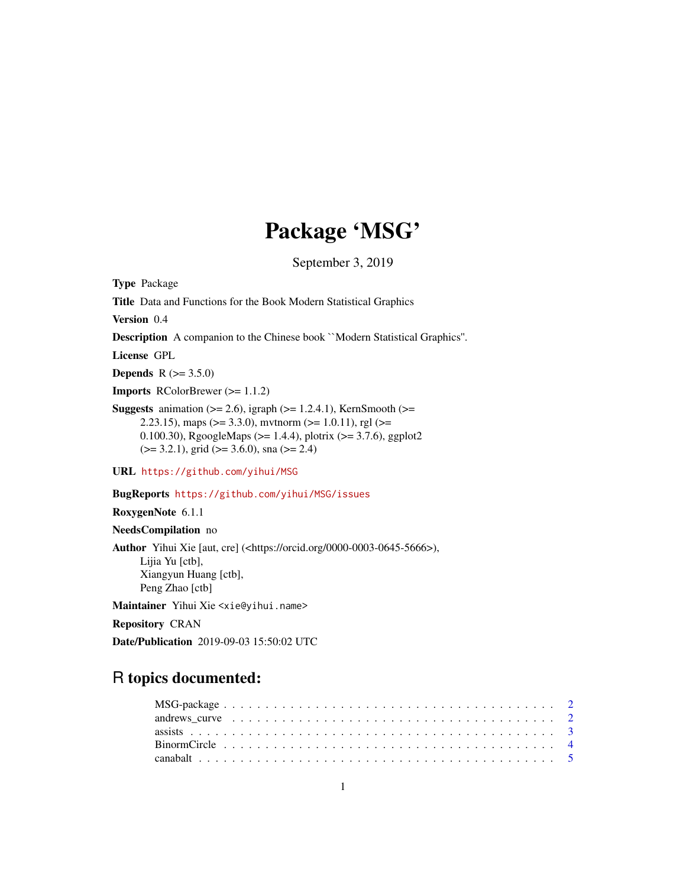# Package 'MSG'

September 3, 2019

<span id="page-0-0"></span>Type Package

Title Data and Functions for the Book Modern Statistical Graphics

Version 0.4

Description A companion to the Chinese book ``Modern Statistical Graphics''.

License GPL

**Depends** R  $(>= 3.5.0)$ 

Imports RColorBrewer (>= 1.1.2)

**Suggests** animation  $(>= 2.6)$ , igraph  $(>= 1.2.4.1)$ , KernSmooth  $(>= 1.2.4.1)$ 2.23.15), maps ( $>= 3.3.0$ ), mythorm ( $>= 1.0.11$ ), rgl ( $>= 1.0.11$ ) 0.100.30), RgoogleMaps (>= 1.4.4), plotrix (>= 3.7.6), ggplot2  $(>= 3.2.1)$ , grid  $(>= 3.6.0)$ , sna  $(>= 2.4)$ 

URL <https://github.com/yihui/MSG>

BugReports <https://github.com/yihui/MSG/issues>

RoxygenNote 6.1.1

NeedsCompilation no

Author Yihui Xie [aut, cre] (<https://orcid.org/0000-0003-0645-5666>), Lijia Yu [ctb], Xiangyun Huang [ctb], Peng Zhao [ctb]

Maintainer Yihui Xie <xie@yihui.name>

Repository CRAN

Date/Publication 2019-09-03 15:50:02 UTC

# R topics documented: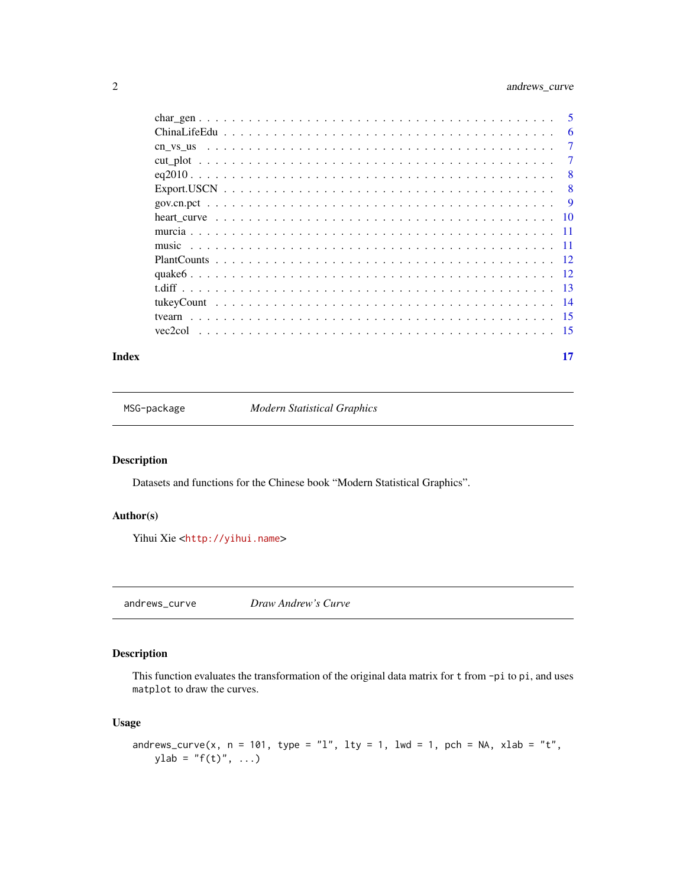# <span id="page-1-0"></span>2 and rews\_curve and rews\_curve

| - 5            |
|----------------|
| 6              |
| $\overline{7}$ |
| 7              |
| 8              |
| 8              |
| - 9            |
|                |
|                |
|                |
|                |
|                |
|                |
|                |
|                |
|                |
|                |

#### **Index** [17](#page-16-0)

MSG-package *Modern Statistical Graphics*

# Description

Datasets and functions for the Chinese book "Modern Statistical Graphics".

# Author(s)

Yihui Xie <<http://yihui.name>>

andrews\_curve *Draw Andrew's Curve*

# Description

This function evaluates the transformation of the original data matrix for t from -pi to pi, and uses matplot to draw the curves.

# Usage

```
andrews_curve(x, n = 101, type = "l", lty = 1, lwd = 1, pch = NA, xlab = "t",
   ylab = "f(t)", ...)
```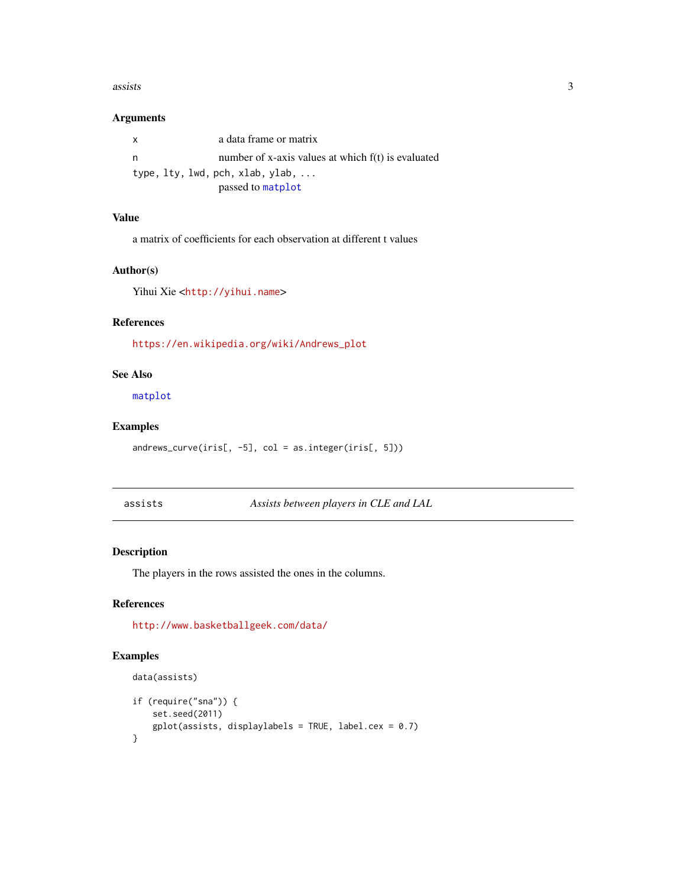#### <span id="page-2-0"></span> $\sim$  3

# Arguments

| $\mathsf{x}$ | a data frame or matrix                             |
|--------------|----------------------------------------------------|
| n.           | number of x-axis values at which f(t) is evaluated |
|              | type, lty, lwd, pch, xlab, ylab,                   |
|              | passed to matplot                                  |

# Value

a matrix of coefficients for each observation at different t values

# Author(s)

Yihui Xie <<http://yihui.name>>

# References

[https://en.wikipedia.org/wiki/Andrews\\_plot](https://en.wikipedia.org/wiki/Andrews_plot)

# See Also

[matplot](#page-0-0)

# Examples

andrews\_curve(iris[, -5], col = as.integer(iris[, 5]))

assists *Assists between players in CLE and LAL*

# Description

The players in the rows assisted the ones in the columns.

# References

<http://www.basketballgeek.com/data/>

```
data(assists)
if (require("sna")) {
     set.seed(2011)
     gplot(assists, display, style="color: red;">displaylabel = TRUE, label.cex = 0.7)}
```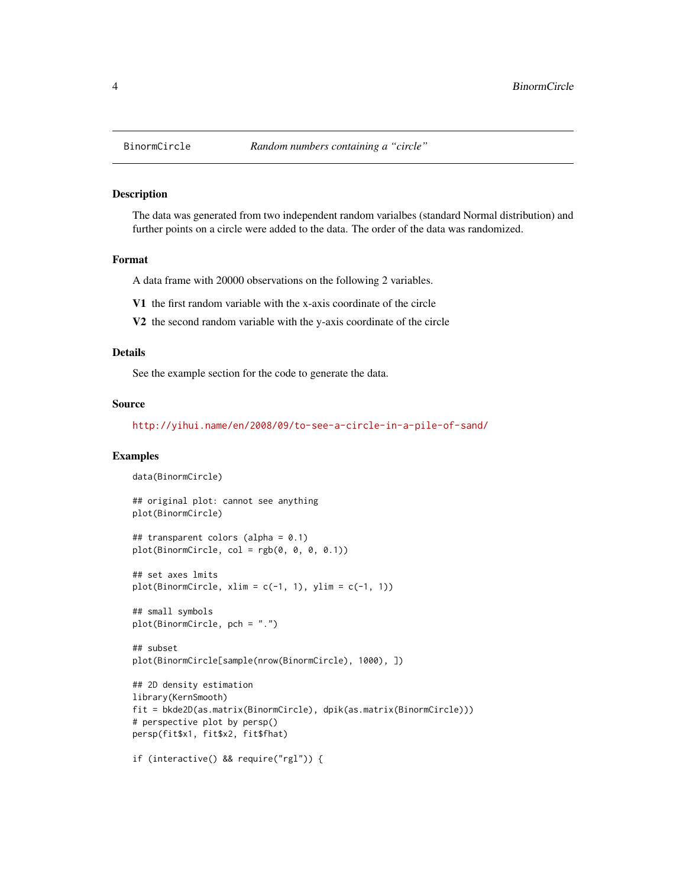<span id="page-3-0"></span>

The data was generated from two independent random varialbes (standard Normal distribution) and further points on a circle were added to the data. The order of the data was randomized.

#### Format

A data frame with 20000 observations on the following 2 variables.

- V1 the first random variable with the x-axis coordinate of the circle
- V2 the second random variable with the y-axis coordinate of the circle

# Details

See the example section for the code to generate the data.

#### Source

<http://yihui.name/en/2008/09/to-see-a-circle-in-a-pile-of-sand/>

```
data(BinormCircle)
## original plot: cannot see anything
plot(BinormCircle)
## transparent colors (alpha = 0.1)
plot(BinormCircle, col = rgb(0, 0, 0, 0.1))## set axes lmits
plot(BinormCircle, xlim = c(-1, 1), ylim = c(-1, 1))## small symbols
plot(BinormCircle, pch = ".")
## subset
plot(BinormCircle[sample(nrow(BinormCircle), 1000), ])
## 2D density estimation
library(KernSmooth)
fit = bkde2D(as.matrix(BinormCircle), dpik(as.matrix(BinormCircle)))
# perspective plot by persp()
persp(fit$x1, fit$x2, fit$fhat)
if (interactive() && require("rgl")) {
```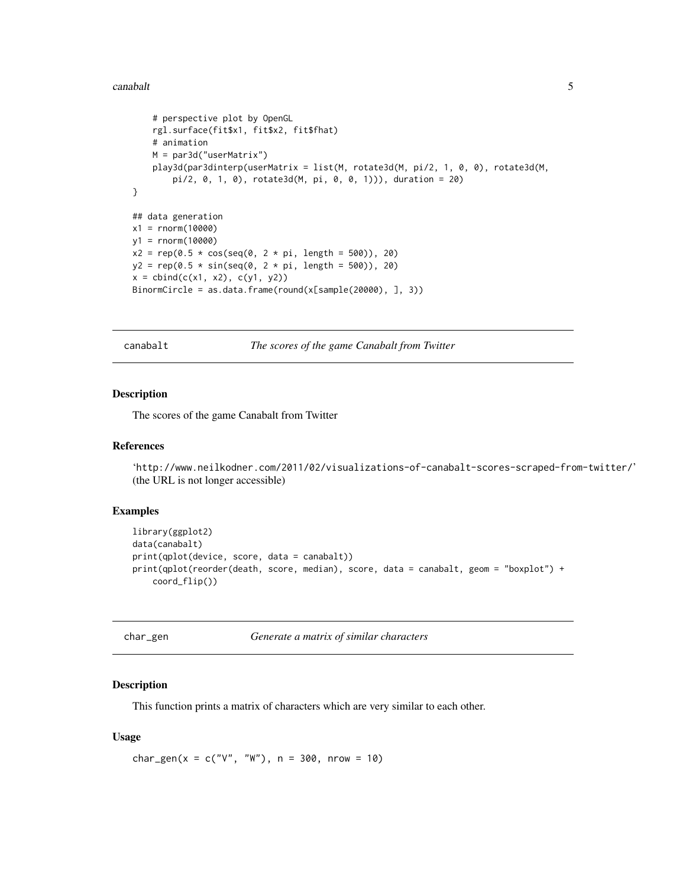#### <span id="page-4-0"></span>canabalt 5 and 5 and 5 and 5 and 5 and 5 and 5 and 5 and 5 and 5 and 5 and 5 and 5 and 5 and 5 and 5 and 5 and 5 and 5 and 5 and 5 and 5 and 5 and 5 and 5 and 5 and 5 and 5 and 5 and 5 and 5 and 5 and 5 and 5 and 5 and 5 a

```
# perspective plot by OpenGL
    rgl.surface(fit$x1, fit$x2, fit$fhat)
    # animation
   M = par3d("userMatrix")
   play3d(par3dinterp(userMatrix = list(M, rotate3d(M, pi/2, 1, 0, 0), rotate3d(M,
        pi/2, 0, 1, 0), rotate3d(M, pi, 0, 0, 1))), duration = 20)
}
## data generation
x1 = rnorm(10000)
y1 = rnorm(10000)
x2 = rep(0.5 * cos(seq(0, 2 * pi, length = 500)), 20)y2 = rep(0.5 * sin(seq(0, 2 * pi, length = 500)), 20)x = \text{cbind}(c(x1, x2), c(y1, y2))BinormCircle = as.data.frame(round(x[sample(20000), ], 3))
```
canabalt *The scores of the game Canabalt from Twitter*

# Description

The scores of the game Canabalt from Twitter

#### References

```
'http://www.neilkodner.com/2011/02/visualizations-of-canabalt-scores-scraped-from-twitter/'
(the URL is not longer accessible)
```
#### Examples

```
library(ggplot2)
data(canabalt)
print(qplot(device, score, data = canabalt))
print(qplot(reorder(death, score, median), score, data = canabalt, geom = "boxplot") +
    coord_flip())
```

Generate a matrix of similar characters

#### Description

This function prints a matrix of characters which are very similar to each other.

#### Usage

char\_gen( $x = c("V", "W")$ , n = 300, nrow = 10)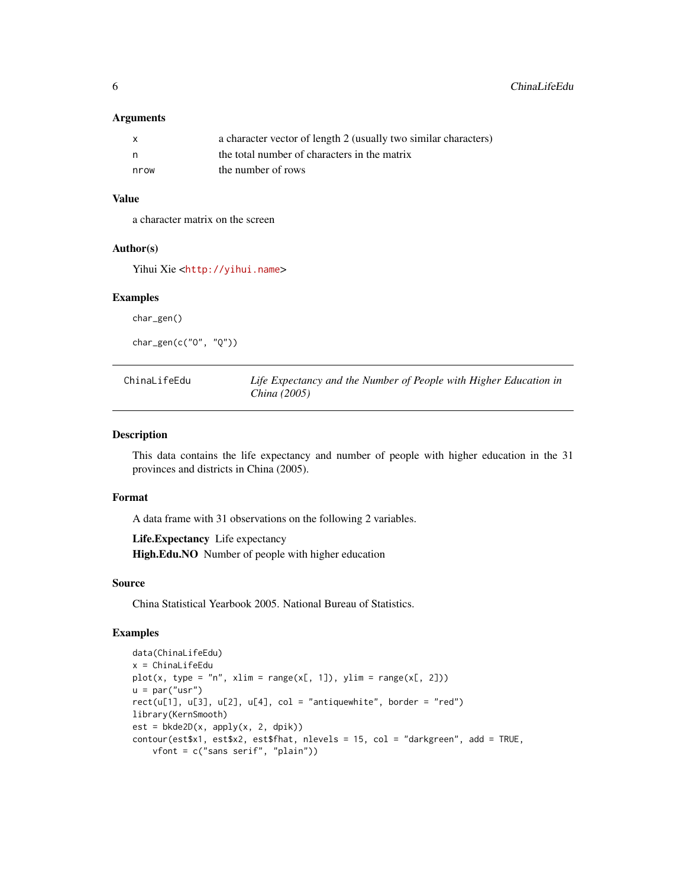#### <span id="page-5-0"></span>**Arguments**

| X    | a character vector of length 2 (usually two similar characters) |
|------|-----------------------------------------------------------------|
| n,   | the total number of characters in the matrix                    |
| nrow | the number of rows                                              |

# Value

a character matrix on the screen

#### Author(s)

Yihui Xie <<http://yihui.name>>

#### Examples

char\_gen()

char\_gen(c("O", "Q"))

ChinaLifeEdu *Life Expectancy and the Number of People with Higher Education in China (2005)*

#### Description

This data contains the life expectancy and number of people with higher education in the 31 provinces and districts in China (2005).

# Format

A data frame with 31 observations on the following 2 variables.

Life.Expectancy Life expectancy High.Edu.NO Number of people with higher education

#### Source

China Statistical Yearbook 2005. National Bureau of Statistics.

```
data(ChinaLifeEdu)
x = ChinaLifeEdu
plot(x, type = "n", xlim = range(x[, 1]), ylim = range(x[, 2]))u = par("usr")rect(u[1], u[3], u[2], u[4], col = "antiquewhite", border = "red")
library(KernSmooth)
est = bkde2D(x, apply(x, 2, dpik))contour(est$x1, est$x2, est$fhat, nlevels = 15, col = "darkgreen", add = TRUE,
    vfont = c("sans serif", "plain"))
```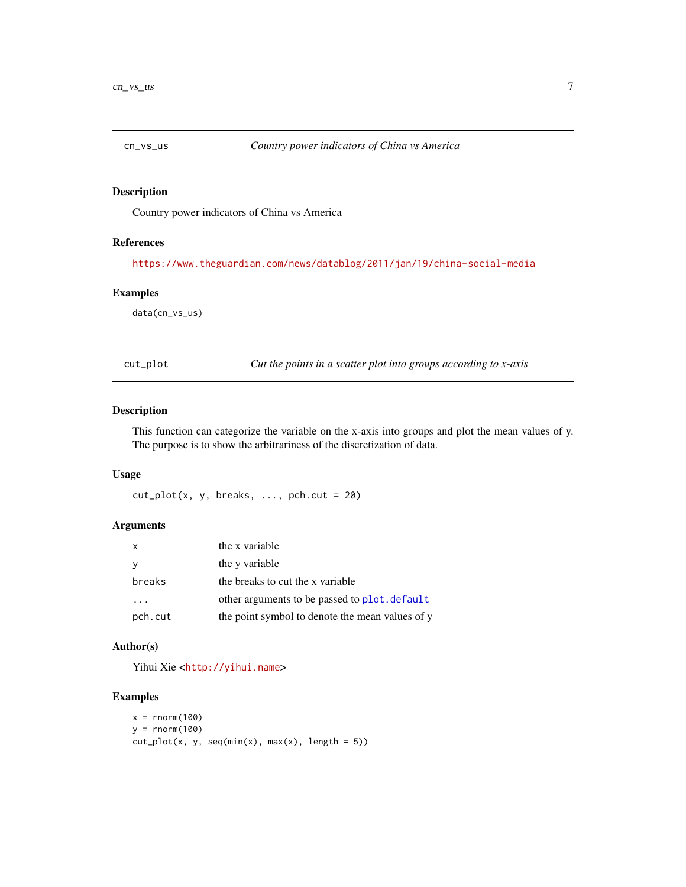<span id="page-6-0"></span>

Country power indicators of China vs America

# References

<https://www.theguardian.com/news/datablog/2011/jan/19/china-social-media>

#### Examples

data(cn\_vs\_us)

cut\_plot *Cut the points in a scatter plot into groups according to x-axis*

# Description

This function can categorize the variable on the x-axis into groups and plot the mean values of y. The purpose is to show the arbitrariness of the discretization of data.

# Usage

 $cut_plot(x, y, breaks, ..., pch.cut = 20)$ 

# Arguments

| x       | the x variable                                  |
|---------|-------------------------------------------------|
| ν       | the y variable                                  |
| breaks  | the breaks to cut the x variable                |
| .       | other arguments to be passed to plot. default   |
| pch.cut | the point symbol to denote the mean values of y |

# Author(s)

Yihui Xie <<http://yihui.name>>

```
x = rnorm(100)y = rnorm(100)cut_plot(x, y, seq(min(x), max(x), length = 5))
```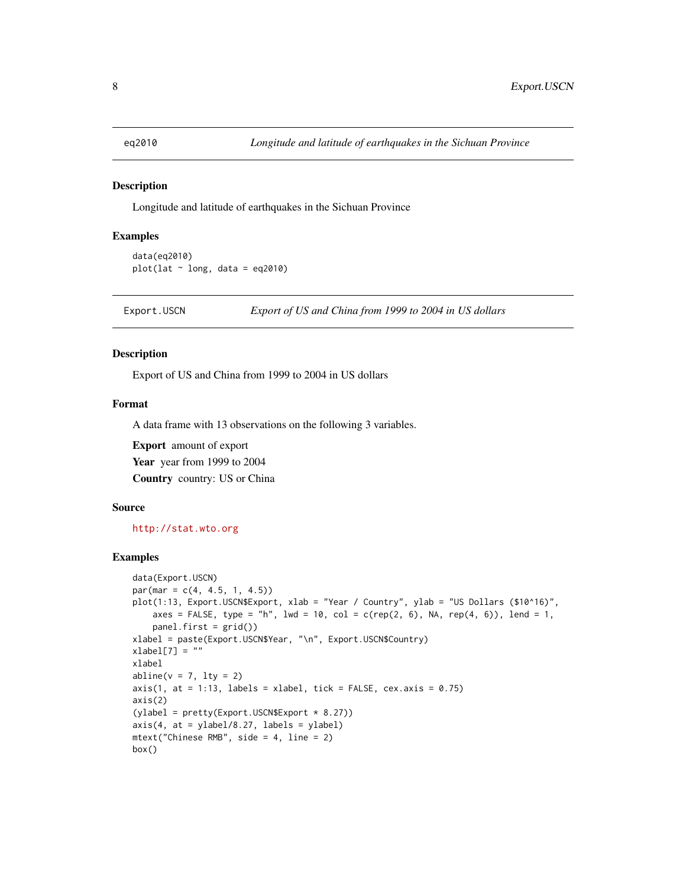<span id="page-7-0"></span>

Longitude and latitude of earthquakes in the Sichuan Province

# Examples

```
data(eq2010)
plot(lat \sim long, data = eq2010)
```
Export.USCN *Export of US and China from 1999 to 2004 in US dollars*

# Description

Export of US and China from 1999 to 2004 in US dollars

# Format

A data frame with 13 observations on the following 3 variables.

Export amount of export Year year from 1999 to 2004 Country country: US or China

#### Source

<http://stat.wto.org>

```
data(Export.USCN)
par(max = c(4, 4.5, 1, 4.5))plot(1:13, Export.USCN$Export, xlab = "Year / Country", ylab = "US Dollars ($10^16)",
   axes = FALSE, type = "h", lwd = 10, col = c(rep(2, 6), NA, rep(4, 6)), lend = 1,
   panel.first = grid()xlabel = paste(Export.USCN$Year, "\n", Export.USCN$Country)
xlabel[7] = "xlabel
abline(v = 7, lty = 2)axis(1, at = 1:13, labels = xlabel, tick = FALSE, cex.axis = 0.75)axis(2)
(ylabel = pretty(Export.USCN$Export * 8.27))axis(4, at = ylabel/8.27, labels = ylabel)mtext("Chinese RMB", side = 4, line = 2)
box()
```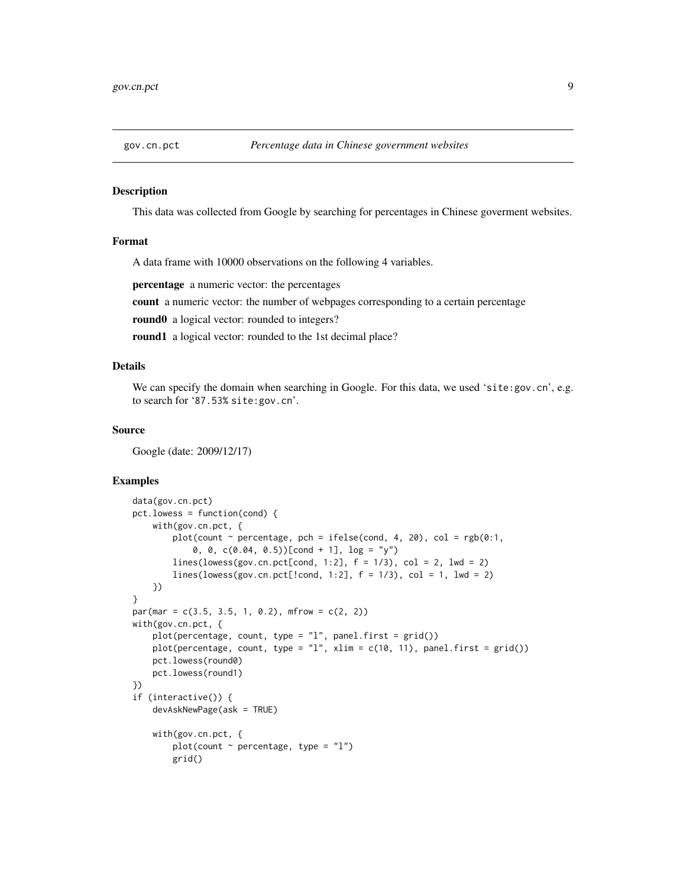<span id="page-8-0"></span>

This data was collected from Google by searching for percentages in Chinese goverment websites.

#### Format

A data frame with 10000 observations on the following 4 variables.

percentage a numeric vector: the percentages

count a numeric vector: the number of webpages corresponding to a certain percentage

round0 a logical vector: rounded to integers?

round1 a logical vector: rounded to the 1st decimal place?

# Details

We can specify the domain when searching in Google. For this data, we used 'site:gov.cn', e.g. to search for '87.53% site:gov.cn'.

#### Source

Google (date: 2009/12/17)

```
data(gov.cn.pct)
pct.lowess = function(cond) {
    with(gov.cn.pct, {
        plot(count \sim percentage, pch = ifelse(cond, 4, 20), col = rgb(0:1,
            0, 0, c(0.04, 0.5))[cond + 1], log = "y")
        lines(lowess(gov.cn.pct[cond, 1:2], f = 1/3), col = 2, lwd = 2)
        lines(lowess(gov.cn.pct[!cond, 1:2], f = 1/3), col = 1, lwd = 2)
    })
}
par(max = c(3.5, 3.5, 1, 0.2), mfrom = c(2, 2))with(gov.cn.pct, {
    plot(percentage, count, type = "l", panel.first = grid())
   plot(percentage, count, type = "l", xlim = c(10, 11), panel.first = grid())pct.lowess(round0)
    pct.lowess(round1)
})
if (interactive()) {
   devAskNewPage(ask = TRUE)
    with(gov.cn.pct, {
        plot(count \sim percentage, type = "l")
        grid()
```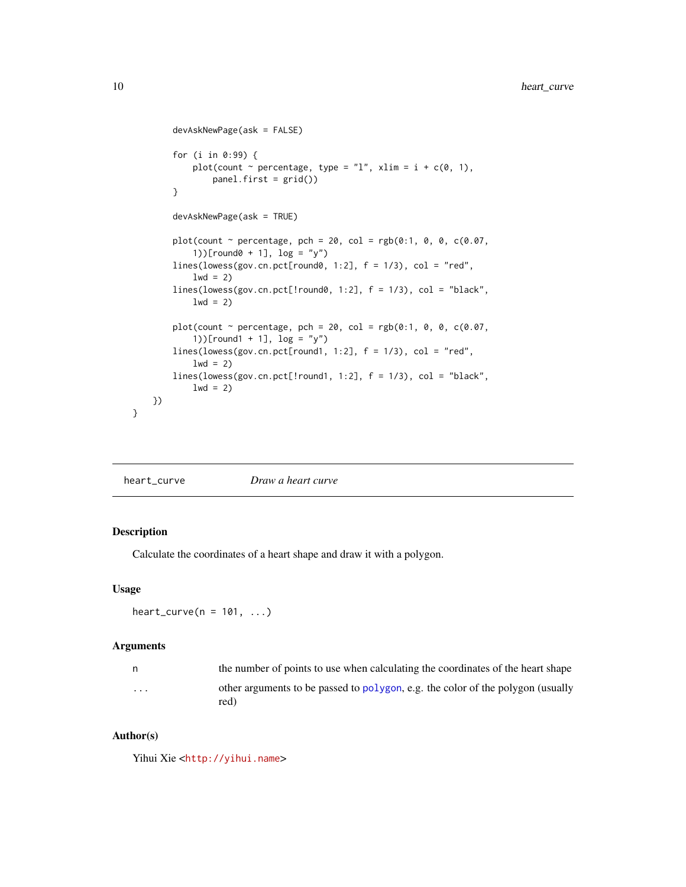```
devAskNewPage(ask = FALSE)
    for (i in 0:99) {
        plot(count \sim percentage, type = "l", xlim = i + c(0, 1),
            panel.first = grid())
    }
    devAskNewPage(ask = TRUE)
    plot(count \sim percentage, pch = 20, col = rgb(0:1, 0, 0, c(0.07,
        1))[round0 + 1], log = "y")lines(lowess(gov.cn.pct[round0, 1:2], f = 1/3), col = "red",
        1wd = 2)lines(lowess(gov.cn.pct[!round0, 1:2], f = 1/3), col = "black",
        lwd = 2)plot(count \sim percentage, pch = 20, col = rgb(0:1, 0, 0, c(0.07,
        1))[round1 + 1], log = "y")
    lines(lowess(gov.cn.pct[round1, 1:2], f = 1/3), col = "red",
        1wd = 2)lines(lowess(gov.cn.pct[!round1, 1:2], f = 1/3), col = "black",
        lwd = 2)})
```

| Draw a heart curve<br>heart_curve |
|-----------------------------------|
|-----------------------------------|

}

Calculate the coordinates of a heart shape and draw it with a polygon.

#### Usage

```
heart_curve(n = 101, ...)
```
# Arguments

| n | the number of points to use when calculating the coordinates of the heart shape         |
|---|-----------------------------------------------------------------------------------------|
| . | other arguments to be passed to polygon, e.g. the color of the polygon (usually<br>red) |

# Author(s)

Yihui Xie <<http://yihui.name>>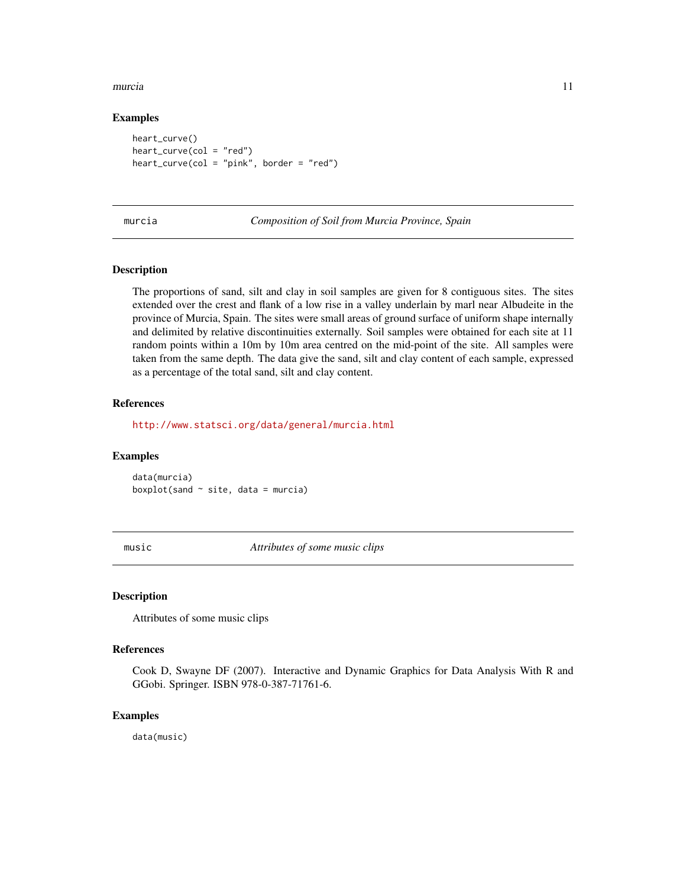#### <span id="page-10-0"></span>murcia de la componente de la componente de la componente de la componente de la componente de la componente d

# Examples

heart\_curve()  $heart\_curve(col = "red")$ heart\_curve(col = "pink", border = "red")

murcia *Composition of Soil from Murcia Province, Spain*

# **Description**

The proportions of sand, silt and clay in soil samples are given for 8 contiguous sites. The sites extended over the crest and flank of a low rise in a valley underlain by marl near Albudeite in the province of Murcia, Spain. The sites were small areas of ground surface of uniform shape internally and delimited by relative discontinuities externally. Soil samples were obtained for each site at 11 random points within a 10m by 10m area centred on the mid-point of the site. All samples were taken from the same depth. The data give the sand, silt and clay content of each sample, expressed as a percentage of the total sand, silt and clay content.

#### References

<http://www.statsci.org/data/general/murcia.html>

# Examples

data(murcia) boxplot(sand  $\sim$  site, data = murcia)

music *Attributes of some music clips*

# **Description**

Attributes of some music clips

#### References

Cook D, Swayne DF (2007). Interactive and Dynamic Graphics for Data Analysis With R and GGobi. Springer. ISBN 978-0-387-71761-6.

#### Examples

data(music)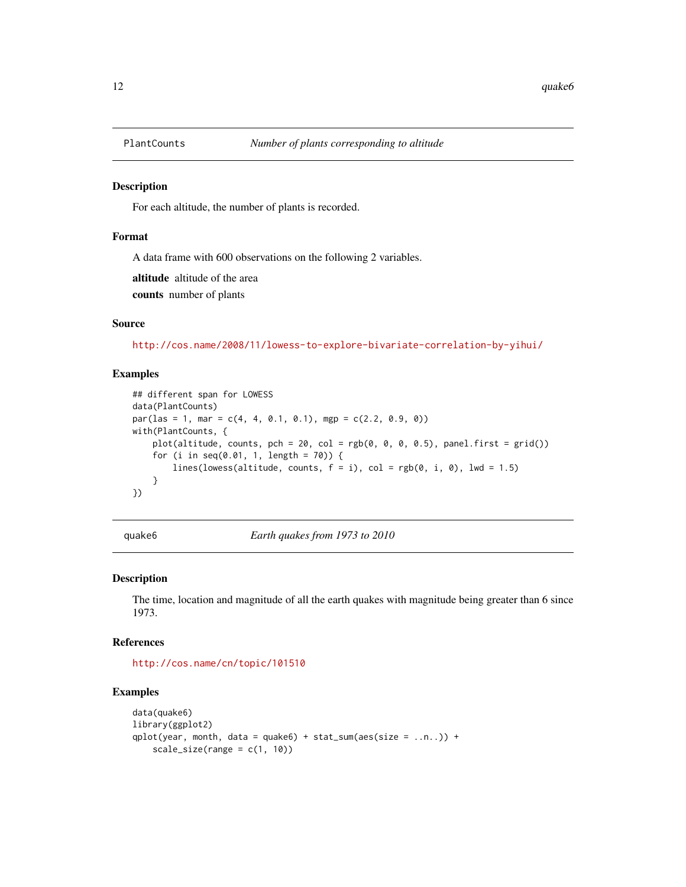<span id="page-11-0"></span>

For each altitude, the number of plants is recorded.

#### Format

A data frame with 600 observations on the following 2 variables.

altitude altitude of the area

counts number of plants

#### Source

<http://cos.name/2008/11/lowess-to-explore-bivariate-correlation-by-yihui/>

# Examples

```
## different span for LOWESS
data(PlantCounts)
par(las = 1, mar = c(4, 4, 0.1, 0.1), mgp = c(2.2, 0.9, 0))with(PlantCounts, {
    plot(altitude, counts, pch = 20, col = rgb(0, 0, 0, 0.5), panel.first = grid())for (i in seq(0.01, 1, length = 70)) {
        lines(lowess(altitude, counts, f = i), col = rgb(0, i, 0), lwd = 1.5)
    }
})
```
quake6 *Earth quakes from 1973 to 2010*

# Description

The time, location and magnitude of all the earth quakes with magnitude being greater than 6 since 1973.

# References

<http://cos.name/cn/topic/101510>

```
data(quake6)
library(ggplot2)
qplot(year, month, data = quake6) + stat_sum(aes(size = \dots)) +
    scale\_size(range = c(1, 10))
```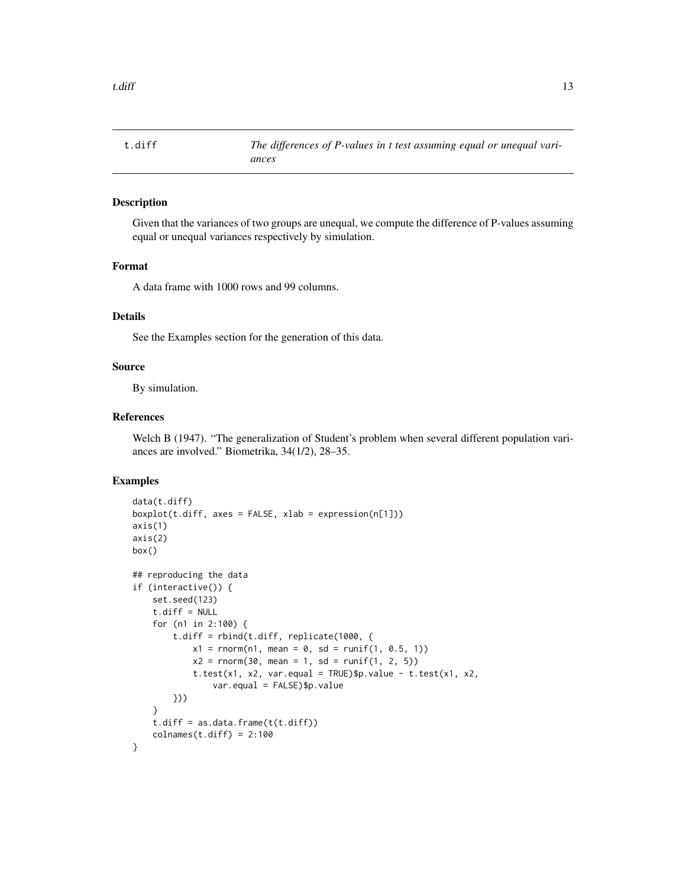<span id="page-12-0"></span>

Given that the variances of two groups are unequal, we compute the difference of P-values assuming equal or unequal variances respectively by simulation.

# Format

A data frame with 1000 rows and 99 columns.

# Details

See the Examples section for the generation of this data.

# Source

By simulation.

# References

Welch B (1947). "The generalization of Student's problem when several different population variances are involved." Biometrika, 34(1/2), 28–35.

```
data(t.diff)
boxplot(t.diff, axes = FALSE, xlab = expression(n[1]))axis(1)
axis(2)
box()
## reproducing the data
if (interactive()) {
    set.seed(123)
    t.diff = NULLfor (n1 in 2:100) {
        t.diff = rbind(t.diff, replicate(1000, {
            x1 = rnorm(n1, mean = 0, sd = runif(1, 0.5, 1))x2 = \text{rnorm}(30, \text{ mean } = 1, \text{ sd } = \text{runif}(1, 2, 5))t.test(x1, x2, var.equal = TRUE)$p.value - t.test(x1, x2,
                 var.equal = FALSE)$p.value
        }))
    }
    t.diff = as.data.frame(t(t.diff))colnames(t.diff) = 2:100}
```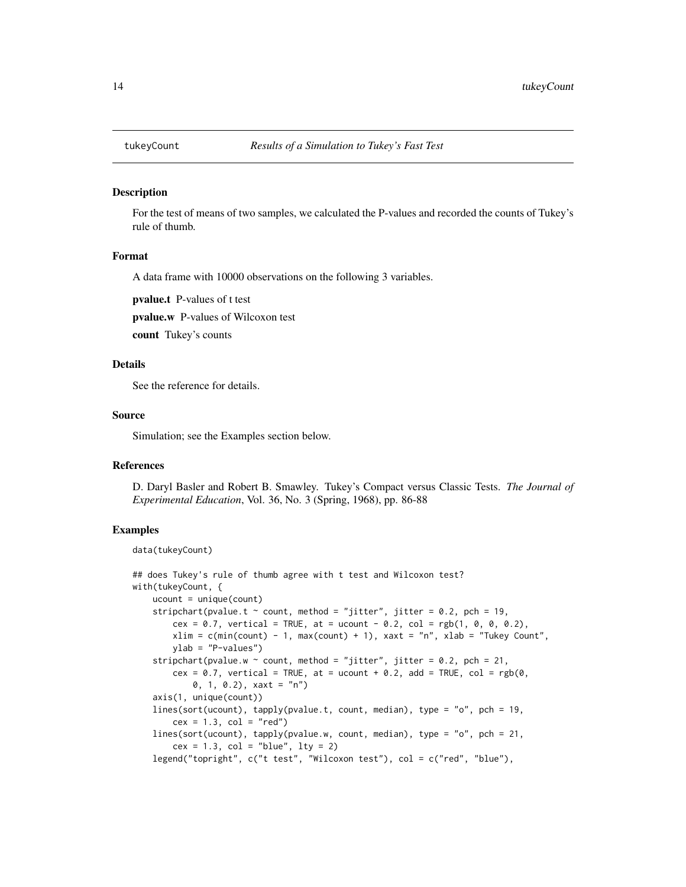<span id="page-13-0"></span>

For the test of means of two samples, we calculated the P-values and recorded the counts of Tukey's rule of thumb.

#### Format

A data frame with 10000 observations on the following 3 variables.

pvalue.t P-values of t test

pvalue.w P-values of Wilcoxon test

count Tukey's counts

# Details

See the reference for details.

#### Source

Simulation; see the Examples section below.

#### References

D. Daryl Basler and Robert B. Smawley. Tukey's Compact versus Classic Tests. *The Journal of Experimental Education*, Vol. 36, No. 3 (Spring, 1968), pp. 86-88

```
data(tukeyCount)
```

```
## does Tukey's rule of thumb agree with t test and Wilcoxon test?
with(tukeyCount, {
   ucount = unique(count)stripchart(pvalue.t \sim count, method = "jitter", jitter = 0.2, pch = 19,
       cex = 0.7, vertical = TRUE, at = ucount - 0.2, col = rgb(1, 0, 0, 0.2),
       xlim = c(min(count) - 1, max(count) + 1), xaut = "n", xlab = "Tukey Count",ylab = "P-values")
   stripchart(pvalue.w \sim count, method = "jitter", jitter = 0.2, pch = 21,
       cex = 0.7, vertical = TRUE, at = ucount + 0.2, add = TRUE, col = rgb(0,
            0, 1, 0.2), xaxt = "n")
    axis(1, unique(count))
    lines(sort(ucount), tapply(pvalue.t, count, median), type = "o", pch = 19,
       cex = 1.3, col = "red")lines(sort(ucount), tapply(pvalue.w, count, median), type = "o", pch = 21,
       cex = 1.3, col = "blue", 1ty = 2)legend("topright", c("t test", "Wilcoxon test"), col = c("red", "blue"),
```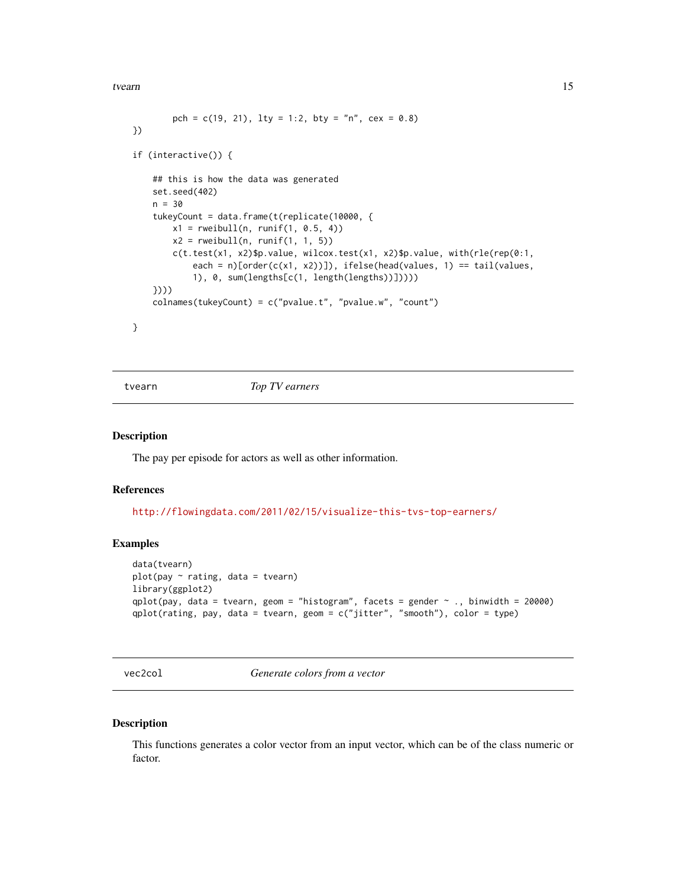<span id="page-14-0"></span>tvearn 15

```
pch = c(19, 21), lty = 1:2, bty = "n", cex = 0.8)
})
if (interactive()) {
    ## this is how the data was generated
   set.seed(402)
   n = 30
    tukeyCount = data.frame(t(replicate(10000, {
       x1 = rweibull(n, runif(1, 0.5, 4))x2 = rweibull(n, runif(1, 1, 5))c(t.test(x1, x2)$p.value, wilcox.test(x1, x2)$p.value, with(rle(rep(0:1,
            each = n)[order(c(x1, x2))]), ifelse(head(values, 1) == tail(values,
            1), 0, sum(lengths[c(1, length(lengths))]))))
    })))
    colnames(tukeyCount) = c("pvalue.t", "pvalue.w", "count")
}
```
tvearn *Top TV earners*

#### Description

The pay per episode for actors as well as other information.

#### References

<http://flowingdata.com/2011/02/15/visualize-this-tvs-top-earners/>

#### Examples

```
data(tvearn)
plot(pay \sim rating, data = tvearn)library(ggplot2)
qplot(pay, data = tvearn, geom = "histogram", facets = gender \sim ., binwidth = 20000)
qplot(rating, pay, data = tvearn, geom = c("jitter", "smooth"), color = type)
```
vec2col *Generate colors from a vector*

#### Description

This functions generates a color vector from an input vector, which can be of the class numeric or factor.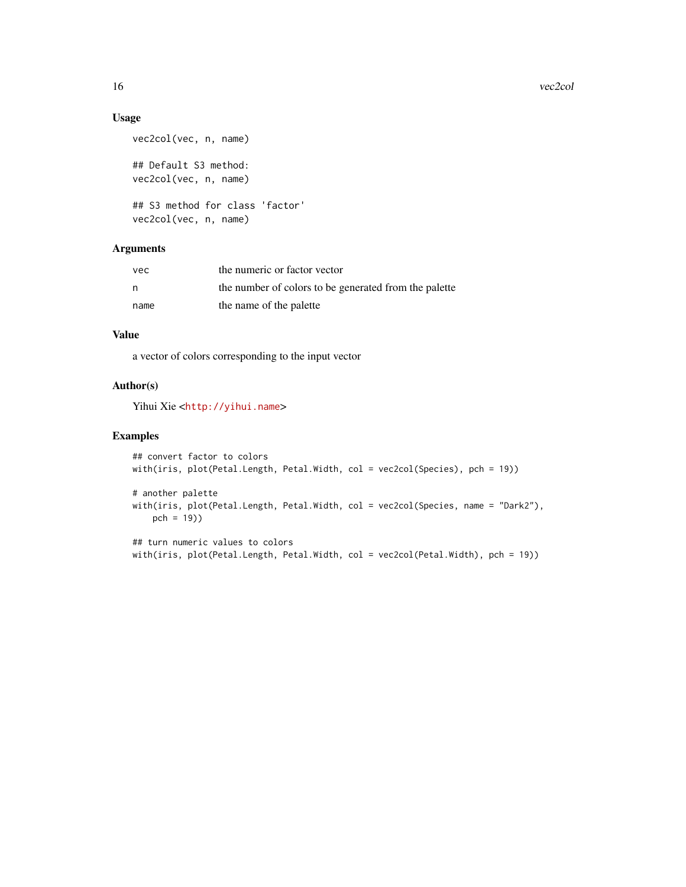# Usage

```
vec2col(vec, n, name)
## Default S3 method:
vec2col(vec, n, name)
## S3 method for class 'factor'
vec2col(vec, n, name)
```
# Arguments

| vec  | the numeric or factor vector                          |
|------|-------------------------------------------------------|
| n    | the number of colors to be generated from the palette |
| name | the name of the palette                               |

# Value

a vector of colors corresponding to the input vector

# Author(s)

Yihui Xie <<http://yihui.name>>

```
## convert factor to colors
with(iris, plot(Petal.Length, Petal.Width, col = vec2col(Species), pch = 19))
# another palette
with(iris, plot(Petal.Length, Petal.Width, col = vec2col(Species, name = "Dark2"),
   pch = 19))
## turn numeric values to colors
```

```
with(iris, plot(Petal.Length, Petal.Width, col = vec2col(Petal.Width), pch = 19))
```